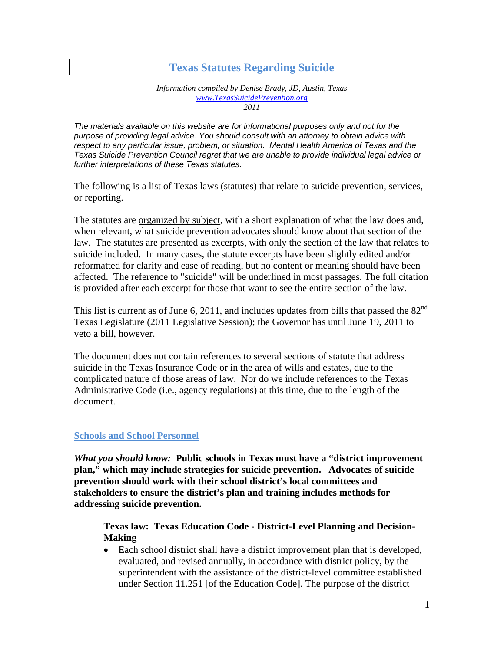# **Texas Statutes Regarding Suicide**

*Information compiled by Denise Brady, JD, Austin, Texas www.TexasSuicidePrevention.org 2011* 

*The materials available on this website are for informational purposes only and not for the purpose of providing legal advice. You should consult with an attorney to obtain advice with respect to any particular issue, problem, or situation. Mental Health America of Texas and the Texas Suicide Prevention Council regret that we are unable to provide individual legal advice or further interpretations of these Texas statutes.* 

The following is a list of Texas laws (statutes) that relate to suicide prevention, services, or reporting.

The statutes are organized by subject, with a short explanation of what the law does and, when relevant, what suicide prevention advocates should know about that section of the law. The statutes are presented as excerpts, with only the section of the law that relates to suicide included. In many cases, the statute excerpts have been slightly edited and/or reformatted for clarity and ease of reading, but no content or meaning should have been affected. The reference to "suicide" will be underlined in most passages. The full citation is provided after each excerpt for those that want to see the entire section of the law.

This list is current as of June 6, 2011, and includes updates from bills that passed the  $82<sup>nd</sup>$ Texas Legislature (2011 Legislative Session); the Governor has until June 19, 2011 to veto a bill, however.

The document does not contain references to several sections of statute that address suicide in the Texas Insurance Code or in the area of wills and estates, due to the complicated nature of those areas of law. Nor do we include references to the Texas Administrative Code (i.e., agency regulations) at this time, due to the length of the document.

#### **Schools and School Personnel**

*What you should know:* **Public schools in Texas must have a "district improvement plan," which may include strategies for suicide prevention. Advocates of suicide prevention should work with their school district's local committees and stakeholders to ensure the district's plan and training includes methods for addressing suicide prevention.** 

### **Texas law: Texas Education Code - District-Level Planning and Decision-Making**

 Each school district shall have a district improvement plan that is developed, evaluated, and revised annually, in accordance with district policy, by the superintendent with the assistance of the district-level committee established under Section 11.251 [of the Education Code]. The purpose of the district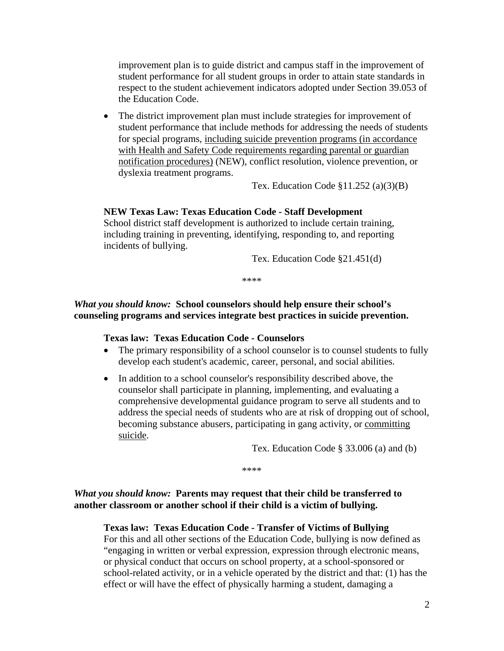improvement plan is to guide district and campus staff in the improvement of student performance for all student groups in order to attain state standards in respect to the student achievement indicators adopted under Section 39.053 of the Education Code.

 The district improvement plan must include strategies for improvement of student performance that include methods for addressing the needs of students for special programs, including suicide prevention programs (in accordance with Health and Safety Code requirements regarding parental or guardian notification procedures) (NEW), conflict resolution, violence prevention, or dyslexia treatment programs.

Tex. Education Code  $\S 11.252$  (a)(3)(B)

#### **NEW Texas Law: Texas Education Code - Staff Development**

School district staff development is authorized to include certain training, including training in preventing, identifying, responding to, and reporting incidents of bullying.

Tex. Education Code §21.451(d)

\*\*\*\*

#### *What you should know:* **School counselors should help ensure their school's counseling programs and services integrate best practices in suicide prevention.**

#### **Texas law: Texas Education Code - Counselors**

- The primary responsibility of a school counselor is to counsel students to fully develop each student's academic, career, personal, and social abilities.
- In addition to a school counselor's responsibility described above, the counselor shall participate in planning, implementing, and evaluating a comprehensive developmental guidance program to serve all students and to address the special needs of students who are at risk of dropping out of school, becoming substance abusers, participating in gang activity, or committing suicide.

Tex. Education Code § 33.006 (a) and (b)

\*\*\*\*

### *What you should know:* **Parents may request that their child be transferred to another classroom or another school if their child is a victim of bullying.**

#### **Texas law: Texas Education Code - Transfer of Victims of Bullying**

For this and all other sections of the Education Code, bullying is now defined as "engaging in written or verbal expression, expression through electronic means, or physical conduct that occurs on school property, at a school-sponsored or school-related activity, or in a vehicle operated by the district and that: (1) has the effect or will have the effect of physically harming a student, damaging a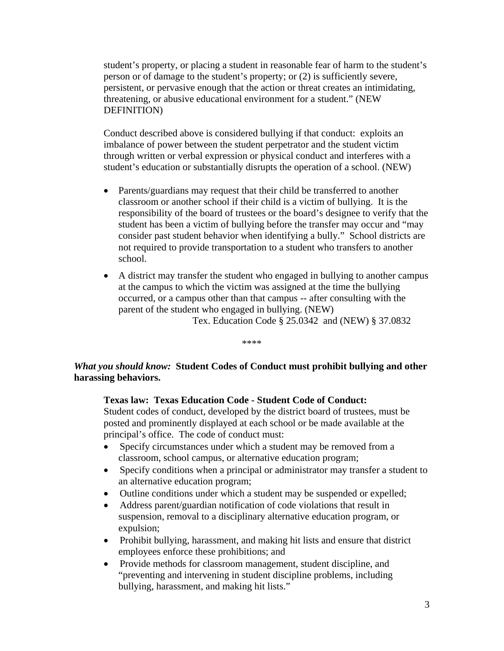student's property, or placing a student in reasonable fear of harm to the student's person or of damage to the student's property; or (2) is sufficiently severe, persistent, or pervasive enough that the action or threat creates an intimidating, threatening, or abusive educational environment for a student." (NEW DEFINITION)

Conduct described above is considered bullying if that conduct: exploits an imbalance of power between the student perpetrator and the student victim through written or verbal expression or physical conduct and interferes with a student's education or substantially disrupts the operation of a school. (NEW)

- Parents/guardians may request that their child be transferred to another classroom or another school if their child is a victim of bullying. It is the responsibility of the board of trustees or the board's designee to verify that the student has been a victim of bullying before the transfer may occur and "may consider past student behavior when identifying a bully." School districts are not required to provide transportation to a student who transfers to another school.
- A district may transfer the student who engaged in bullying to another campus at the campus to which the victim was assigned at the time the bullying occurred, or a campus other than that campus -- after consulting with the parent of the student who engaged in bullying. (NEW) Tex. Education Code § 25.0342 and (NEW) § 37.0832

\*\*\*\*

*What you should know:* **Student Codes of Conduct must prohibit bullying and other harassing behaviors.** 

#### **Texas law: Texas Education Code - Student Code of Conduct:**

Student codes of conduct, developed by the district board of trustees, must be posted and prominently displayed at each school or be made available at the principal's office. The code of conduct must:

- Specify circumstances under which a student may be removed from a classroom, school campus, or alternative education program;
- Specify conditions when a principal or administrator may transfer a student to an alternative education program;
- Outline conditions under which a student may be suspended or expelled;
- Address parent/guardian notification of code violations that result in suspension, removal to a disciplinary alternative education program, or expulsion;
- Prohibit bullying, harassment, and making hit lists and ensure that district employees enforce these prohibitions; and
- Provide methods for classroom management, student discipline, and "preventing and intervening in student discipline problems, including bullying, harassment, and making hit lists."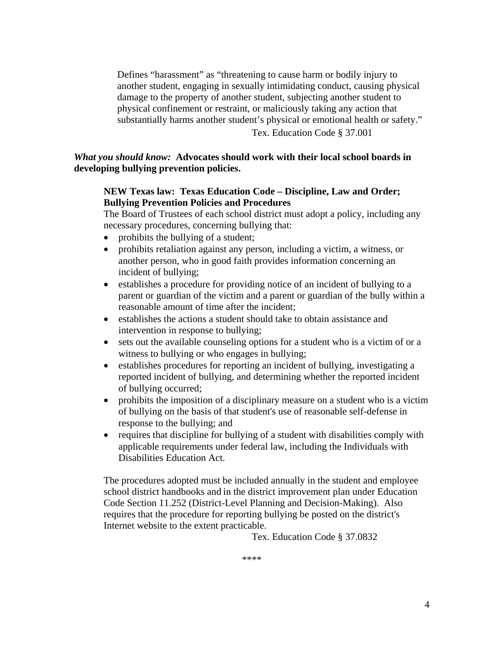Defines "harassment" as "threatening to cause harm or bodily injury to another student, engaging in sexually intimidating conduct, causing physical damage to the property of another student, subjecting another student to physical confinement or restraint, or maliciously taking any action that substantially harms another student's physical or emotional health or safety." Tex. Education Code § 37.001

*What you should know:* **Advocates should work with their local school boards in developing bullying prevention policies.** 

#### **NEW Texas law: Texas Education Code – Discipline, Law and Order; Bullying Prevention Policies and Procedures**

The Board of Trustees of each school district must adopt a policy, including any necessary procedures, concerning bullying that:

- prohibits the bullying of a student;
- prohibits retaliation against any person, including a victim, a witness, or another person, who in good faith provides information concerning an incident of bullying;
- establishes a procedure for providing notice of an incident of bullying to a parent or guardian of the victim and a parent or guardian of the bully within a reasonable amount of time after the incident;
- establishes the actions a student should take to obtain assistance and intervention in response to bullying;
- sets out the available counseling options for a student who is a victim of or a witness to bullying or who engages in bullying;
- establishes procedures for reporting an incident of bullying, investigating a reported incident of bullying, and determining whether the reported incident of bullying occurred;
- prohibits the imposition of a disciplinary measure on a student who is a victim of bullying on the basis of that student's use of reasonable self-defense in response to the bullying; and
- requires that discipline for bullying of a student with disabilities comply with applicable requirements under federal law, including the Individuals with Disabilities Education Act.

The procedures adopted must be included annually in the student and employee school district handbooks and in the district improvement plan under Education Code Section 11.252 (District-Level Planning and Decision-Making). Also requires that the procedure for reporting bullying be posted on the district's Internet website to the extent practicable.

Tex. Education Code § 37.0832

\*\*\*\*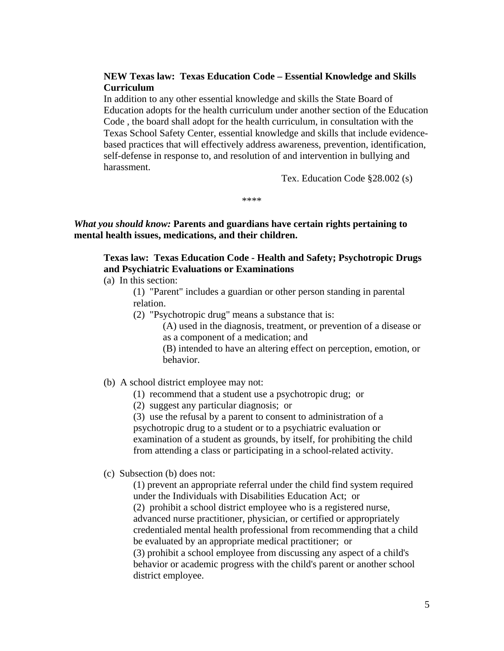#### **NEW Texas law: Texas Education Code – Essential Knowledge and Skills Curriculum**

In addition to any other essential knowledge and skills the State Board of Education adopts for the health curriculum under another section of the Education Code , the board shall adopt for the health curriculum, in consultation with the Texas School Safety Center, essential knowledge and skills that include evidencebased practices that will effectively address awareness, prevention, identification, self-defense in response to, and resolution of and intervention in bullying and harassment.

Tex. Education Code §28.002 (s)

\*\*\*\*

*What you should know:* **Parents and guardians have certain rights pertaining to mental health issues, medications, and their children.** 

## **Texas law: Texas Education Code - Health and Safety; Psychotropic Drugs and Psychiatric Evaluations or Examinations**

(a) In this section:

(1) "Parent" includes a guardian or other person standing in parental relation.

(2) "Psychotropic drug" means a substance that is:

(A) used in the diagnosis, treatment, or prevention of a disease or as a component of a medication; and

(B) intended to have an altering effect on perception, emotion, or behavior.

#### (b) A school district employee may not:

(1) recommend that a student use a psychotropic drug; or

(2) suggest any particular diagnosis; or

(3) use the refusal by a parent to consent to administration of a psychotropic drug to a student or to a psychiatric evaluation or examination of a student as grounds, by itself, for prohibiting the child from attending a class or participating in a school-related activity.

(c) Subsection (b) does not:

(1) prevent an appropriate referral under the child find system required under the Individuals with Disabilities Education Act; or (2) prohibit a school district employee who is a registered nurse, advanced nurse practitioner, physician, or certified or appropriately credentialed mental health professional from recommending that a child be evaluated by an appropriate medical practitioner; or (3) prohibit a school employee from discussing any aspect of a child's behavior or academic progress with the child's parent or another school district employee.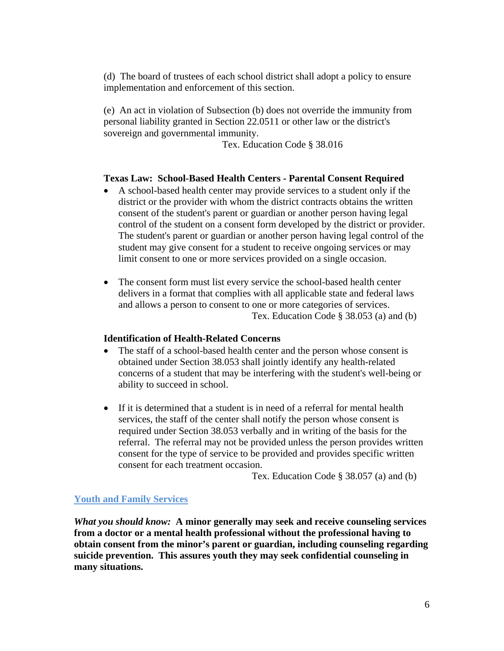(d) The board of trustees of each school district shall adopt a policy to ensure implementation and enforcement of this section.

(e) An act in violation of Subsection (b) does not override the immunity from personal liability granted in Section 22.0511 or other law or the district's sovereign and governmental immunity.

Tex. Education Code § 38.016

### **Texas Law: School-Based Health Centers - Parental Consent Required**

- A school-based health center may provide services to a student only if the district or the provider with whom the district contracts obtains the written consent of the student's parent or guardian or another person having legal control of the student on a consent form developed by the district or provider. The student's parent or guardian or another person having legal control of the student may give consent for a student to receive ongoing services or may limit consent to one or more services provided on a single occasion.
- The consent form must list every service the school-based health center delivers in a format that complies with all applicable state and federal laws and allows a person to consent to one or more categories of services. Tex. Education Code § 38.053 (a) and (b)

#### **Identification of Health-Related Concerns**

- The staff of a school-based health center and the person whose consent is obtained under Section 38.053 shall jointly identify any health-related concerns of a student that may be interfering with the student's well-being or ability to succeed in school.
- If it is determined that a student is in need of a referral for mental health services, the staff of the center shall notify the person whose consent is required under Section 38.053 verbally and in writing of the basis for the referral. The referral may not be provided unless the person provides written consent for the type of service to be provided and provides specific written consent for each treatment occasion.

Tex. Education Code § 38.057 (a) and (b)

#### **Youth and Family Services**

*What you should know:* **A minor generally may seek and receive counseling services from a doctor or a mental health professional without the professional having to obtain consent from the minor's parent or guardian, including counseling regarding suicide prevention. This assures youth they may seek confidential counseling in many situations.**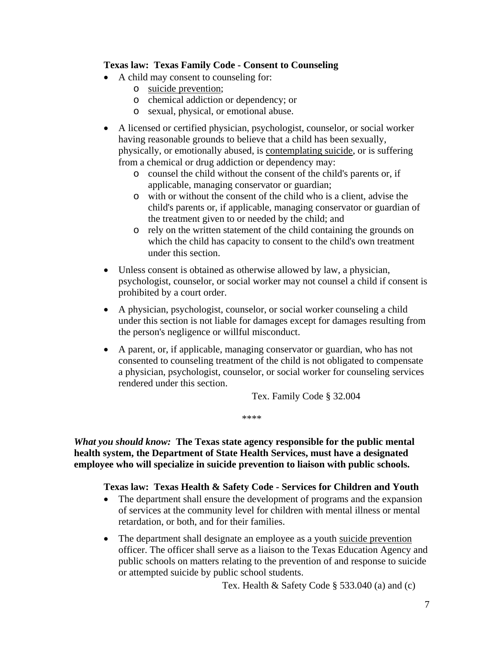### **Texas law: Texas Family Code - Consent to Counseling**

- A child may consent to counseling for:
	- o suicide prevention;
	- o chemical addiction or dependency; or
	- o sexual, physical, or emotional abuse.
- A licensed or certified physician, psychologist, counselor, or social worker having reasonable grounds to believe that a child has been sexually, physically, or emotionally abused, is contemplating suicide, or is suffering from a chemical or drug addiction or dependency may:
	- o counsel the child without the consent of the child's parents or, if applicable, managing conservator or guardian;
	- o with or without the consent of the child who is a client, advise the child's parents or, if applicable, managing conservator or guardian of the treatment given to or needed by the child; and
	- o rely on the written statement of the child containing the grounds on which the child has capacity to consent to the child's own treatment under this section.
- Unless consent is obtained as otherwise allowed by law, a physician, psychologist, counselor, or social worker may not counsel a child if consent is prohibited by a court order.
- A physician, psychologist, counselor, or social worker counseling a child under this section is not liable for damages except for damages resulting from the person's negligence or willful misconduct.
- A parent, or, if applicable, managing conservator or guardian, who has not consented to counseling treatment of the child is not obligated to compensate a physician, psychologist, counselor, or social worker for counseling services rendered under this section.

Tex. Family Code § 32.004

\*\*\*\*

*What you should know:* **The Texas state agency responsible for the public mental health system, the Department of State Health Services, must have a designated employee who will specialize in suicide prevention to liaison with public schools.** 

## **Texas law: Texas Health & Safety Code - Services for Children and Youth**

- The department shall ensure the development of programs and the expansion of services at the community level for children with mental illness or mental retardation, or both, and for their families.
- The department shall designate an employee as a youth suicide prevention officer. The officer shall serve as a liaison to the Texas Education Agency and public schools on matters relating to the prevention of and response to suicide or attempted suicide by public school students.

Tex. Health & Safety Code § 533.040 (a) and (c)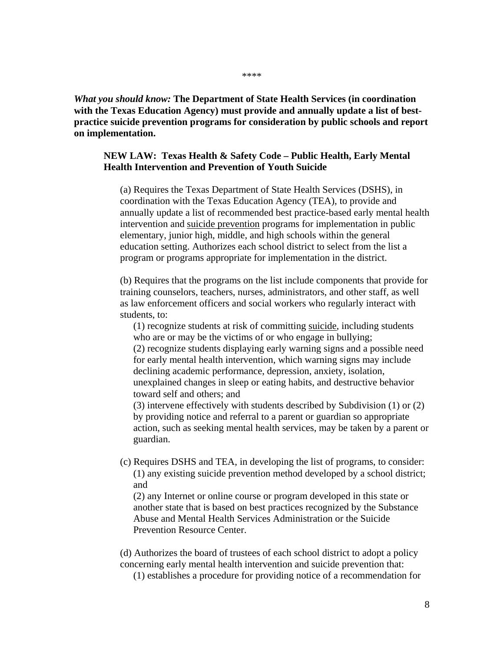*What you should know:* **The Department of State Health Services (in coordination with the Texas Education Agency) must provide and annually update a list of bestpractice suicide prevention programs for consideration by public schools and report on implementation.** 

#### **NEW LAW: Texas Health & Safety Code – Public Health, Early Mental Health Intervention and Prevention of Youth Suicide**

(a) Requires the Texas Department of State Health Services (DSHS), in coordination with the Texas Education Agency (TEA), to provide and annually update a list of recommended best practice-based early mental health intervention and suicide prevention programs for implementation in public elementary, junior high, middle, and high schools within the general education setting. Authorizes each school district to select from the list a program or programs appropriate for implementation in the district.

(b) Requires that the programs on the list include components that provide for training counselors, teachers, nurses, administrators, and other staff, as well as law enforcement officers and social workers who regularly interact with students, to:

(1) recognize students at risk of committing suicide, including students who are or may be the victims of or who engage in bullying; (2) recognize students displaying early warning signs and a possible need

for early mental health intervention, which warning signs may include declining academic performance, depression, anxiety, isolation, unexplained changes in sleep or eating habits, and destructive behavior toward self and others; and

(3) intervene effectively with students described by Subdivision (1) or (2) by providing notice and referral to a parent or guardian so appropriate action, such as seeking mental health services, may be taken by a parent or guardian.

(c) Requires DSHS and TEA, in developing the list of programs, to consider: (1) any existing suicide prevention method developed by a school district; and

(2) any Internet or online course or program developed in this state or another state that is based on best practices recognized by the Substance Abuse and Mental Health Services Administration or the Suicide Prevention Resource Center.

(d) Authorizes the board of trustees of each school district to adopt a policy concerning early mental health intervention and suicide prevention that:

(1) establishes a procedure for providing notice of a recommendation for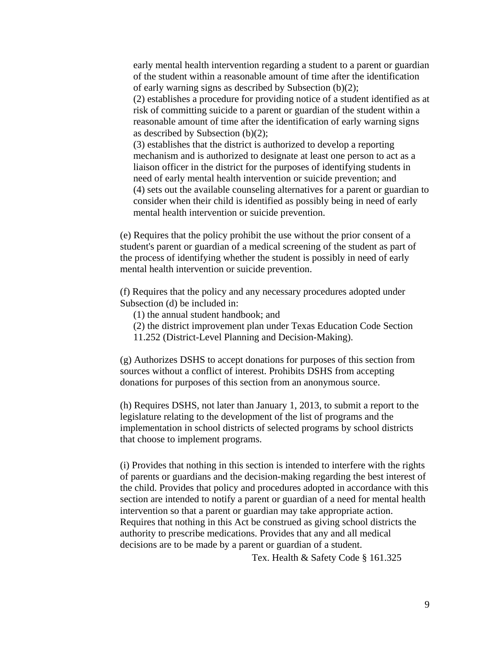early mental health intervention regarding a student to a parent or guardian of the student within a reasonable amount of time after the identification of early warning signs as described by Subsection (b)(2);

(2) establishes a procedure for providing notice of a student identified as at risk of committing suicide to a parent or guardian of the student within a reasonable amount of time after the identification of early warning signs as described by Subsection (b)(2);

(3) establishes that the district is authorized to develop a reporting mechanism and is authorized to designate at least one person to act as a liaison officer in the district for the purposes of identifying students in need of early mental health intervention or suicide prevention; and (4) sets out the available counseling alternatives for a parent or guardian to consider when their child is identified as possibly being in need of early mental health intervention or suicide prevention.

(e) Requires that the policy prohibit the use without the prior consent of a student's parent or guardian of a medical screening of the student as part of the process of identifying whether the student is possibly in need of early mental health intervention or suicide prevention.

(f) Requires that the policy and any necessary procedures adopted under Subsection (d) be included in:

(1) the annual student handbook; and

- (2) the district improvement plan under Texas Education Code Section
- 11.252 (District-Level Planning and Decision-Making).

(g) Authorizes DSHS to accept donations for purposes of this section from sources without a conflict of interest. Prohibits DSHS from accepting donations for purposes of this section from an anonymous source.

(h) Requires DSHS, not later than January 1, 2013, to submit a report to the legislature relating to the development of the list of programs and the implementation in school districts of selected programs by school districts that choose to implement programs.

(i) Provides that nothing in this section is intended to interfere with the rights of parents or guardians and the decision-making regarding the best interest of the child. Provides that policy and procedures adopted in accordance with this section are intended to notify a parent or guardian of a need for mental health intervention so that a parent or guardian may take appropriate action. Requires that nothing in this Act be construed as giving school districts the authority to prescribe medications. Provides that any and all medical decisions are to be made by a parent or guardian of a student.

Tex. Health & Safety Code § 161.325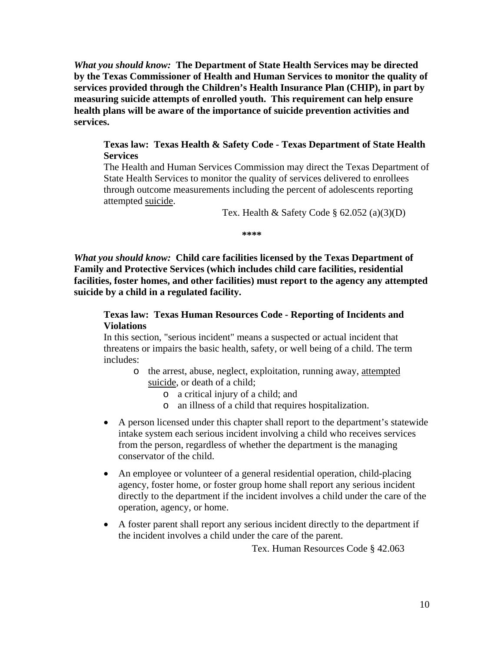*What you should know:* **The Department of State Health Services may be directed by the Texas Commissioner of Health and Human Services to monitor the quality of services provided through the Children's Health Insurance Plan (CHIP), in part by measuring suicide attempts of enrolled youth. This requirement can help ensure health plans will be aware of the importance of suicide prevention activities and services.** 

#### **Texas law: Texas Health & Safety Code - Texas Department of State Health Services**

The Health and Human Services Commission may direct the Texas Department of State Health Services to monitor the quality of services delivered to enrollees through outcome measurements including the percent of adolescents reporting attempted suicide.

Tex. Health & Safety Code  $\S$  62.052 (a)(3)(D)

**\*\*\*\*** 

*What you should know:* **Child care facilities licensed by the Texas Department of Family and Protective Services (which includes child care facilities, residential facilities, foster homes, and other facilities) must report to the agency any attempted suicide by a child in a regulated facility.** 

### **Texas law: Texas Human Resources Code - Reporting of Incidents and Violations**

In this section, "serious incident" means a suspected or actual incident that threatens or impairs the basic health, safety, or well being of a child. The term includes:

- o the arrest, abuse, neglect, exploitation, running away, attempted suicide, or death of a child;
	- o a critical injury of a child; and
	- o an illness of a child that requires hospitalization.
- A person licensed under this chapter shall report to the department's statewide intake system each serious incident involving a child who receives services from the person, regardless of whether the department is the managing conservator of the child.
- An employee or volunteer of a general residential operation, child-placing agency, foster home, or foster group home shall report any serious incident directly to the department if the incident involves a child under the care of the operation, agency, or home.
- A foster parent shall report any serious incident directly to the department if the incident involves a child under the care of the parent.

Tex. Human Resources Code § 42.063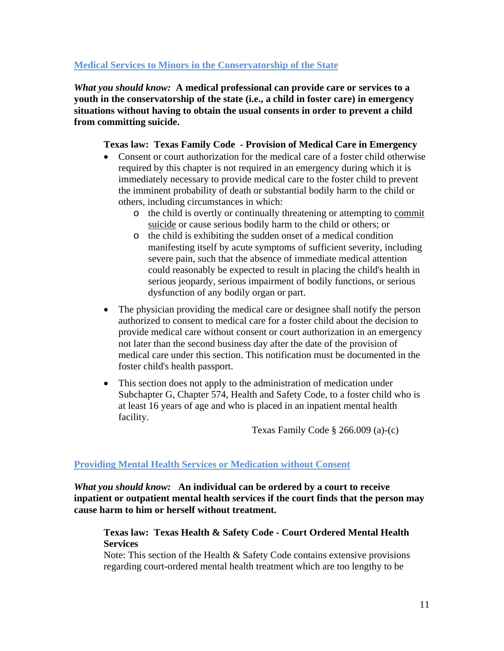## **Medical Services to Minors in the Conservatorship of the State**

*What you should know:* **A medical professional can provide care or services to a youth in the conservatorship of the state (i.e., a child in foster care) in emergency situations without having to obtain the usual consents in order to prevent a child from committing suicide.** 

## **Texas law: Texas Family Code - Provision of Medical Care in Emergency**

- Consent or court authorization for the medical care of a foster child otherwise required by this chapter is not required in an emergency during which it is immediately necessary to provide medical care to the foster child to prevent the imminent probability of death or substantial bodily harm to the child or others, including circumstances in which:
	- o the child is overtly or continually threatening or attempting to commit suicide or cause serious bodily harm to the child or others; or
	- o the child is exhibiting the sudden onset of a medical condition manifesting itself by acute symptoms of sufficient severity, including severe pain, such that the absence of immediate medical attention could reasonably be expected to result in placing the child's health in serious jeopardy, serious impairment of bodily functions, or serious dysfunction of any bodily organ or part.
- The physician providing the medical care or designee shall notify the person authorized to consent to medical care for a foster child about the decision to provide medical care without consent or court authorization in an emergency not later than the second business day after the date of the provision of medical care under this section. This notification must be documented in the foster child's health passport.
- This section does not apply to the administration of medication under Subchapter G, Chapter 574, Health and Safety Code, to a foster child who is at least 16 years of age and who is placed in an inpatient mental health facility.

Texas Family Code § 266.009 (a)-(c)

## **Providing Mental Health Services or Medication without Consent**

*What you should know:* **An individual can be ordered by a court to receive inpatient or outpatient mental health services if the court finds that the person may cause harm to him or herself without treatment.** 

## **Texas law: Texas Health & Safety Code - Court Ordered Mental Health Services**

Note: This section of the Health & Safety Code contains extensive provisions regarding court-ordered mental health treatment which are too lengthy to be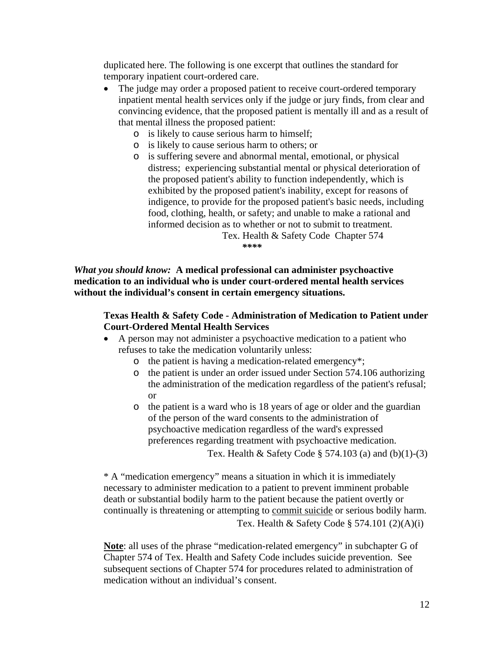duplicated here. The following is one excerpt that outlines the standard for temporary inpatient court-ordered care.

- The judge may order a proposed patient to receive court-ordered temporary inpatient mental health services only if the judge or jury finds, from clear and convincing evidence, that the proposed patient is mentally ill and as a result of that mental illness the proposed patient:
	- o is likely to cause serious harm to himself;
	- o is likely to cause serious harm to others; or
	- o is suffering severe and abnormal mental, emotional, or physical distress; experiencing substantial mental or physical deterioration of the proposed patient's ability to function independently, which is exhibited by the proposed patient's inability, except for reasons of indigence, to provide for the proposed patient's basic needs, including food, clothing, health, or safety; and unable to make a rational and informed decision as to whether or not to submit to treatment.

 Tex. Health & Safety Code Chapter 574 *\*\*\*\** 

*What you should know:* **A medical professional can administer psychoactive medication to an individual who is under court-ordered mental health services without the individual's consent in certain emergency situations.** 

## **Texas Health & Safety Code - Administration of Medication to Patient under Court-Ordered Mental Health Services**

- A person may not administer a psychoactive medication to a patient who refuses to take the medication voluntarily unless:
	- o the patient is having a medication-related emergency\*;
	- o the patient is under an order issued under Section 574.106 authorizing the administration of the medication regardless of the patient's refusal; or
	- o the patient is a ward who is 18 years of age or older and the guardian of the person of the ward consents to the administration of psychoactive medication regardless of the ward's expressed preferences regarding treatment with psychoactive medication.

Tex. Health & Safety Code  $\S$  574.103 (a) and (b)(1)-(3)

\* A "medication emergency" means a situation in which it is immediately necessary to administer medication to a patient to prevent imminent probable death or substantial bodily harm to the patient because the patient overtly or continually is threatening or attempting to commit suicide or serious bodily harm. Tex. Health & Safety Code § 574.101  $(2)(A)(i)$ 

**Note**: all uses of the phrase "medication-related emergency" in subchapter G of Chapter 574 of Tex. Health and Safety Code includes suicide prevention. See subsequent sections of Chapter 574 for procedures related to administration of medication without an individual's consent.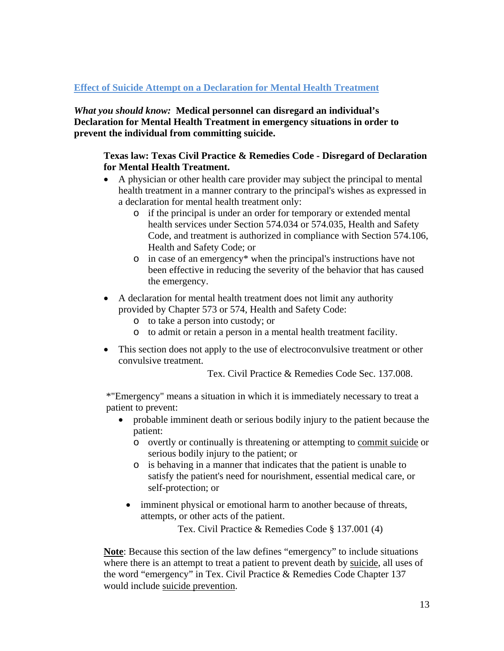## **Effect of Suicide Attempt on a Declaration for Mental Health Treatment**

*What you should know:* **Medical personnel can disregard an individual's Declaration for Mental Health Treatment in emergency situations in order to prevent the individual from committing suicide.** 

### **Texas law: Texas Civil Practice & Remedies Code - Disregard of Declaration for Mental Health Treatment.**

- A physician or other health care provider may subject the principal to mental health treatment in a manner contrary to the principal's wishes as expressed in a declaration for mental health treatment only:
	- o if the principal is under an order for temporary or extended mental health services under Section 574.034 or 574.035, Health and Safety Code, and treatment is authorized in compliance with Section 574.106, Health and Safety Code; or
	- o in case of an emergency\* when the principal's instructions have not been effective in reducing the severity of the behavior that has caused the emergency.
- A declaration for mental health treatment does not limit any authority provided by Chapter 573 or 574, Health and Safety Code:
	- o to take a person into custody; or
	- o to admit or retain a person in a mental health treatment facility.
- This section does not apply to the use of electroconvulsive treatment or other convulsive treatment.

Tex. Civil Practice & Remedies Code Sec. 137.008.

\*"Emergency" means a situation in which it is immediately necessary to treat a patient to prevent:

- probable imminent death or serious bodily injury to the patient because the patient:
	- o overtly or continually is threatening or attempting to commit suicide or serious bodily injury to the patient; or
	- o is behaving in a manner that indicates that the patient is unable to satisfy the patient's need for nourishment, essential medical care, or self-protection; or
	- imminent physical or emotional harm to another because of threats, attempts, or other acts of the patient.

Tex. Civil Practice & Remedies Code § 137.001 (4)

**Note**: Because this section of the law defines "emergency" to include situations where there is an attempt to treat a patient to prevent death by suicide, all uses of the word "emergency" in Tex. Civil Practice & Remedies Code Chapter 137 would include suicide prevention.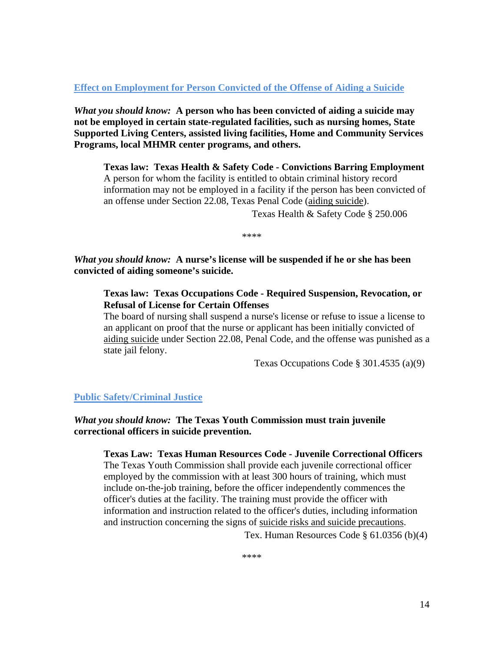**Effect on Employment for Person Convicted of the Offense of Aiding a Suicide**

*What you should know:* **A person who has been convicted of aiding a suicide may not be employed in certain state-regulated facilities, such as nursing homes, State Supported Living Centers, assisted living facilities, Home and Community Services Programs, local MHMR center programs, and others.** 

**Texas law: Texas Health & Safety Code - Convictions Barring Employment**  A person for whom the facility is entitled to obtain criminal history record information may not be employed in a facility if the person has been convicted of an offense under Section 22.08, Texas Penal Code (aiding suicide).

Texas Health & Safety Code § 250.006

\*\*\*\*

*What you should know:* **A nurse's license will be suspended if he or she has been convicted of aiding someone's suicide.** 

**Texas law: Texas Occupations Code - Required Suspension, Revocation, or Refusal of License for Certain Offenses** 

The board of nursing shall suspend a nurse's license or refuse to issue a license to an applicant on proof that the nurse or applicant has been initially convicted of aiding suicide under Section 22.08, Penal Code, and the offense was punished as a state jail felony.

Texas Occupations Code § 301.4535 (a)(9)

## **Public Safety/Criminal Justice**

### *What you should know:* **The Texas Youth Commission must train juvenile correctional officers in suicide prevention.**

**Texas Law: Texas Human Resources Code - Juvenile Correctional Officers**

The Texas Youth Commission shall provide each juvenile correctional officer employed by the commission with at least 300 hours of training, which must include on-the-job training, before the officer independently commences the officer's duties at the facility. The training must provide the officer with information and instruction related to the officer's duties, including information and instruction concerning the signs of suicide risks and suicide precautions.

Tex. Human Resources Code § 61.0356 (b)(4)

\*\*\*\*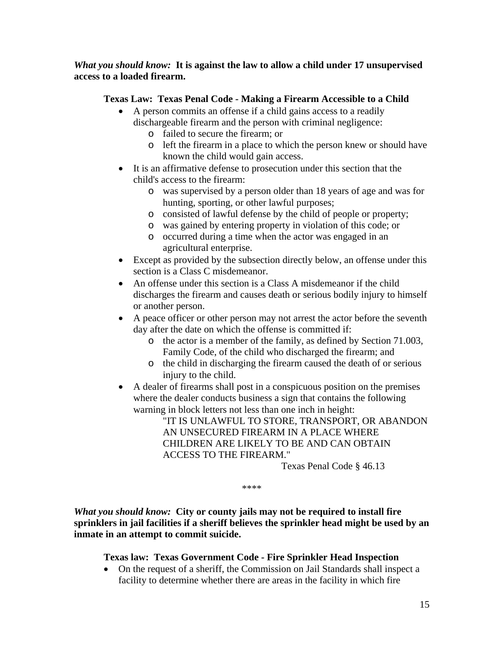*What you should know:* **It is against the law to allow a child under 17 unsupervised access to a loaded firearm.** 

### **Texas Law: Texas Penal Code - Making a Firearm Accessible to a Child**

- A person commits an offense if a child gains access to a readily dischargeable firearm and the person with criminal negligence:
	- o failed to secure the firearm; or
	- o left the firearm in a place to which the person knew or should have known the child would gain access.
- It is an affirmative defense to prosecution under this section that the child's access to the firearm:
	- o was supervised by a person older than 18 years of age and was for hunting, sporting, or other lawful purposes;
	- o consisted of lawful defense by the child of people or property;
	- o was gained by entering property in violation of this code; or
	- o occurred during a time when the actor was engaged in an agricultural enterprise.
- Except as provided by the subsection directly below, an offense under this section is a Class C misdemeanor.
- An offense under this section is a Class A misdemeanor if the child discharges the firearm and causes death or serious bodily injury to himself or another person.
- A peace officer or other person may not arrest the actor before the seventh day after the date on which the offense is committed if:
	- o the actor is a member of the family, as defined by Section 71.003, Family Code, of the child who discharged the firearm; and
	- o the child in discharging the firearm caused the death of or serious injury to the child.
- A dealer of firearms shall post in a conspicuous position on the premises where the dealer conducts business a sign that contains the following warning in block letters not less than one inch in height:

"IT IS UNLAWFUL TO STORE, TRANSPORT, OR ABANDON AN UNSECURED FIREARM IN A PLACE WHERE CHILDREN ARE LIKELY TO BE AND CAN OBTAIN ACCESS TO THE FIREARM."

Texas Penal Code § 46.13

\*\*\*\*

*What you should know:* **City or county jails may not be required to install fire sprinklers in jail facilities if a sheriff believes the sprinkler head might be used by an inmate in an attempt to commit suicide.** 

## **Texas law: Texas Government Code - Fire Sprinkler Head Inspection**

 On the request of a sheriff, the Commission on Jail Standards shall inspect a facility to determine whether there are areas in the facility in which fire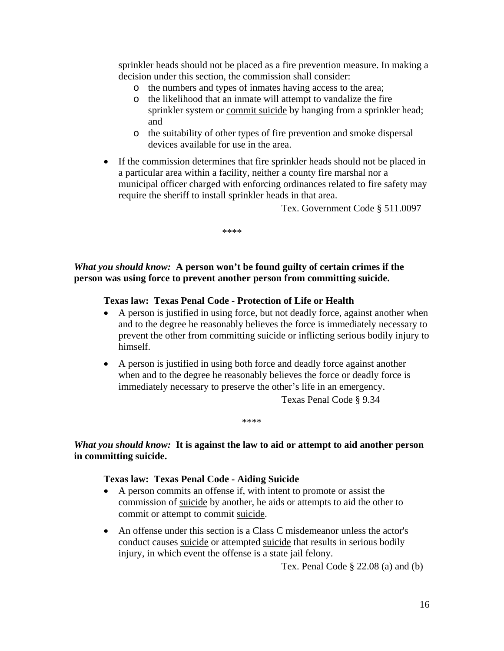sprinkler heads should not be placed as a fire prevention measure. In making a decision under this section, the commission shall consider:

- o the numbers and types of inmates having access to the area;
- o the likelihood that an inmate will attempt to vandalize the fire sprinkler system or commit suicide by hanging from a sprinkler head; and
- o the suitability of other types of fire prevention and smoke dispersal devices available for use in the area.
- If the commission determines that fire sprinkler heads should not be placed in a particular area within a facility, neither a county fire marshal nor a municipal officer charged with enforcing ordinances related to fire safety may require the sheriff to install sprinkler heads in that area.

Tex. Government Code § 511.0097

\*\*\*\*

### *What you should know:* **A person won't be found guilty of certain crimes if the person was using force to prevent another person from committing suicide.**

#### **Texas law: Texas Penal Code - Protection of Life or Health**

- A person is justified in using force, but not deadly force, against another when and to the degree he reasonably believes the force is immediately necessary to prevent the other from committing suicide or inflicting serious bodily injury to himself.
- A person is justified in using both force and deadly force against another when and to the degree he reasonably believes the force or deadly force is immediately necessary to preserve the other's life in an emergency.

Texas Penal Code § 9.34

\*\*\*\*

#### *What you should know:* **It is against the law to aid or attempt to aid another person in committing suicide.**

#### **Texas law: Texas Penal Code - Aiding Suicide**

- A person commits an offense if, with intent to promote or assist the commission of suicide by another, he aids or attempts to aid the other to commit or attempt to commit suicide.
- An offense under this section is a Class C misdemeanor unless the actor's conduct causes suicide or attempted suicide that results in serious bodily injury, in which event the offense is a state jail felony.

Tex. Penal Code  $\S$  22.08 (a) and (b)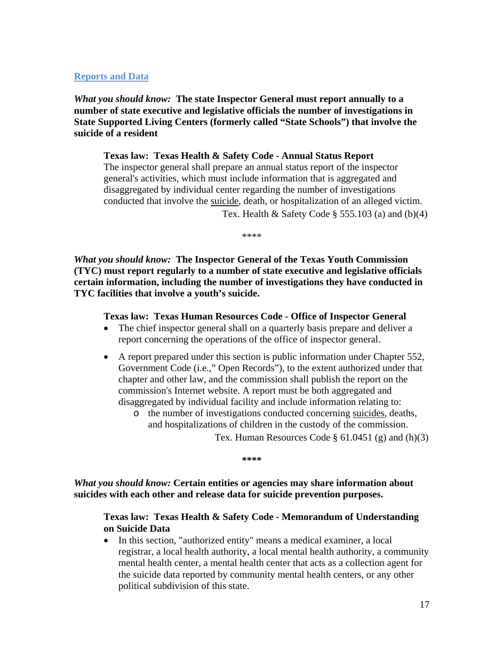### **Reports and Data**

*What you should know:* **The state Inspector General must report annually to a number of state executive and legislative officials the number of investigations in State Supported Living Centers (formerly called "State Schools") that involve the suicide of a resident** 

**Texas law: Texas Health & Safety Code - Annual Status Report** The inspector general shall prepare an annual status report of the inspector general's activities, which must include information that is aggregated and disaggregated by individual center regarding the number of investigations conducted that involve the suicide, death, or hospitalization of an alleged victim. Tex. Health & Safety Code  $\S$  555.103 (a) and (b)(4)

\*\*\*\*

*What you should know:* **The Inspector General of the Texas Youth Commission (TYC) must report regularly to a number of state executive and legislative officials certain information, including the number of investigations they have conducted in TYC facilities that involve a youth's suicide.** 

#### **Texas law: Texas Human Resources Code - Office of Inspector General**

- The chief inspector general shall on a quarterly basis prepare and deliver a report concerning the operations of the office of inspector general.
- A report prepared under this section is public information under Chapter 552, Government Code (i.e.," Open Records"), to the extent authorized under that chapter and other law, and the commission shall publish the report on the commission's Internet website. A report must be both aggregated and disaggregated by individual facility and include information relating to:
	- o the number of investigations conducted concerning suicides, deaths, and hospitalizations of children in the custody of the commission.

Tex. Human Resources Code  $\S$  61.0451 (g) and (h)(3)

**\*\*\*\*** 

*What you should know:* **Certain entities or agencies may share information about suicides with each other and release data for suicide prevention purposes.** 

#### **Texas law: Texas Health & Safety Code - Memorandum of Understanding on Suicide Data**

 In this section, "authorized entity" means a medical examiner, a local registrar, a local health authority, a local mental health authority, a community mental health center, a mental health center that acts as a collection agent for the suicide data reported by community mental health centers, or any other political subdivision of this state.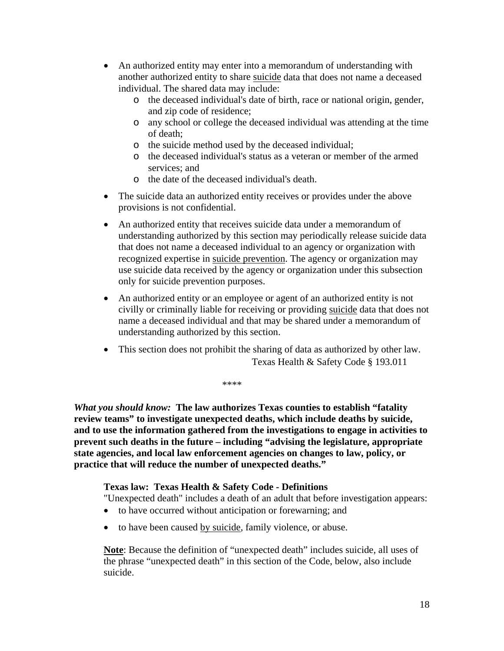- An authorized entity may enter into a memorandum of understanding with another authorized entity to share suicide data that does not name a deceased individual. The shared data may include:
	- o the deceased individual's date of birth, race or national origin, gender, and zip code of residence;
	- o any school or college the deceased individual was attending at the time of death;
	- o the suicide method used by the deceased individual;
	- o the deceased individual's status as a veteran or member of the armed services: and
	- o the date of the deceased individual's death.
- The suicide data an authorized entity receives or provides under the above provisions is not confidential.
- An authorized entity that receives suicide data under a memorandum of understanding authorized by this section may periodically release suicide data that does not name a deceased individual to an agency or organization with recognized expertise in suicide prevention. The agency or organization may use suicide data received by the agency or organization under this subsection only for suicide prevention purposes.
- An authorized entity or an employee or agent of an authorized entity is not civilly or criminally liable for receiving or providing suicide data that does not name a deceased individual and that may be shared under a memorandum of understanding authorized by this section.
- This section does not prohibit the sharing of data as authorized by other law. Texas Health & Safety Code § 193.011

\*\*\*\*

*What you should know:* **The law authorizes Texas counties to establish "fatality review teams" to investigate unexpected deaths, which include deaths by suicide, and to use the information gathered from the investigations to engage in activities to prevent such deaths in the future – including "advising the legislature, appropriate state agencies, and local law enforcement agencies on changes to law, policy, or practice that will reduce the number of unexpected deaths."** 

## **Texas law: Texas Health & Safety Code - Definitions**

"Unexpected death" includes a death of an adult that before investigation appears:

- to have occurred without anticipation or forewarning; and
- to have been caused by suicide, family violence, or abuse.

**Note**: Because the definition of "unexpected death" includes suicide, all uses of the phrase "unexpected death" in this section of the Code, below, also include suicide.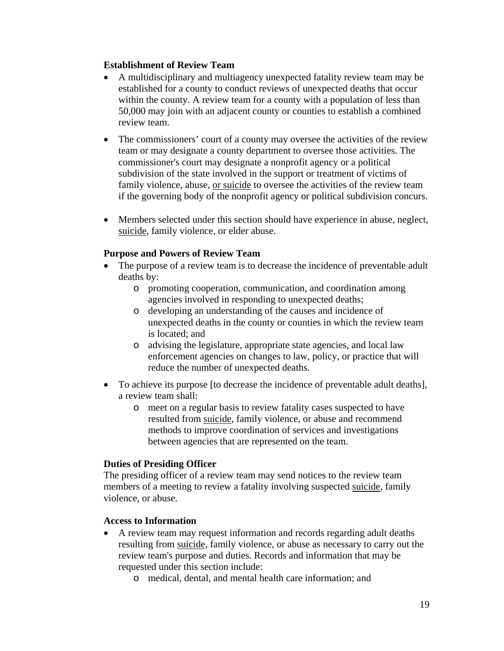### **Establishment of Review Team**

- A multidisciplinary and multiagency unexpected fatality review team may be established for a county to conduct reviews of unexpected deaths that occur within the county. A review team for a county with a population of less than 50,000 may join with an adjacent county or counties to establish a combined review team.
- The commissioners' court of a county may oversee the activities of the review team or may designate a county department to oversee those activities. The commissioner's court may designate a nonprofit agency or a political subdivision of the state involved in the support or treatment of victims of family violence, abuse, or suicide to oversee the activities of the review team if the governing body of the nonprofit agency or political subdivision concurs.
- Members selected under this section should have experience in abuse, neglect, suicide, family violence, or elder abuse.

### **Purpose and Powers of Review Team**

- The purpose of a review team is to decrease the incidence of preventable adult deaths by:
	- o promoting cooperation, communication, and coordination among agencies involved in responding to unexpected deaths;
	- o developing an understanding of the causes and incidence of unexpected deaths in the county or counties in which the review team is located; and
	- o advising the legislature, appropriate state agencies, and local law enforcement agencies on changes to law, policy, or practice that will reduce the number of unexpected deaths.
- To achieve its purpose [to decrease the incidence of preventable adult deaths], a review team shall:
	- o meet on a regular basis to review fatality cases suspected to have resulted from suicide, family violence, or abuse and recommend methods to improve coordination of services and investigations between agencies that are represented on the team.

#### **Duties of Presiding Officer**

The presiding officer of a review team may send notices to the review team members of a meeting to review a fatality involving suspected suicide, family violence, or abuse.

#### **Access to Information**

- A review team may request information and records regarding adult deaths resulting from suicide, family violence, or abuse as necessary to carry out the review team's purpose and duties. Records and information that may be requested under this section include:
	- o medical, dental, and mental health care information; and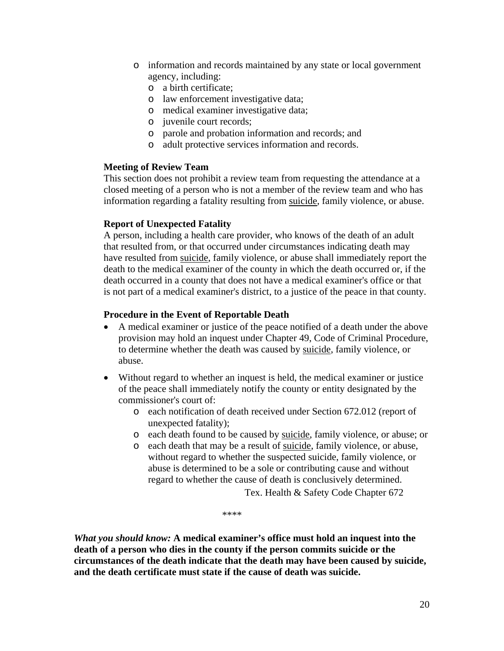- o information and records maintained by any state or local government agency, including:
	- o a birth certificate;
	- o law enforcement investigative data;
	- o medical examiner investigative data;
	- o juvenile court records;
	- o parole and probation information and records; and
	- o adult protective services information and records.

#### **Meeting of Review Team**

This section does not prohibit a review team from requesting the attendance at a closed meeting of a person who is not a member of the review team and who has information regarding a fatality resulting from suicide, family violence, or abuse.

#### **Report of Unexpected Fatality**

A person, including a health care provider, who knows of the death of an adult that resulted from, or that occurred under circumstances indicating death may have resulted from suicide, family violence, or abuse shall immediately report the death to the medical examiner of the county in which the death occurred or, if the death occurred in a county that does not have a medical examiner's office or that is not part of a medical examiner's district, to a justice of the peace in that county.

### **Procedure in the Event of Reportable Death**

- A medical examiner or justice of the peace notified of a death under the above provision may hold an inquest under Chapter 49, Code of Criminal Procedure, to determine whether the death was caused by suicide, family violence, or abuse.
- Without regard to whether an inquest is held, the medical examiner or justice of the peace shall immediately notify the county or entity designated by the commissioner's court of:
	- o each notification of death received under Section 672.012 (report of unexpected fatality);
	- o each death found to be caused by suicide, family violence, or abuse; or
	- o each death that may be a result of suicide, family violence, or abuse, without regard to whether the suspected suicide, family violence, or abuse is determined to be a sole or contributing cause and without regard to whether the cause of death is conclusively determined.

Tex. Health & Safety Code Chapter 672

\*\*\*\*

*What you should know:* **A medical examiner's office must hold an inquest into the death of a person who dies in the county if the person commits suicide or the circumstances of the death indicate that the death may have been caused by suicide, and the death certificate must state if the cause of death was suicide.**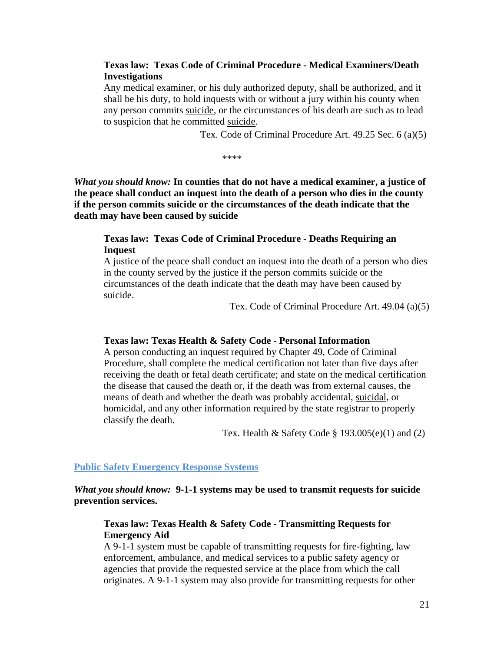### **Texas law: Texas Code of Criminal Procedure - Medical Examiners/Death Investigations**

Any medical examiner, or his duly authorized deputy, shall be authorized, and it shall be his duty, to hold inquests with or without a jury within his county when any person commits suicide, or the circumstances of his death are such as to lead to suspicion that he committed suicide.

Tex. Code of Criminal Procedure Art. 49.25 Sec. 6 (a)(5)

\*\*\*\*

*What you should know:* **In counties that do not have a medical examiner, a justice of the peace shall conduct an inquest into the death of a person who dies in the county if the person commits suicide or the circumstances of the death indicate that the death may have been caused by suicide** 

### **Texas law: Texas Code of Criminal Procedure - Deaths Requiring an Inquest**

A justice of the peace shall conduct an inquest into the death of a person who dies in the county served by the justice if the person commits suicide or the circumstances of the death indicate that the death may have been caused by suicide.

Tex. Code of Criminal Procedure Art. 49.04 (a)(5)

#### **Texas law: Texas Health & Safety Code - Personal Information**

A person conducting an inquest required by Chapter 49, Code of Criminal Procedure, shall complete the medical certification not later than five days after receiving the death or fetal death certificate; and state on the medical certification the disease that caused the death or, if the death was from external causes, the means of death and whether the death was probably accidental, suicidal, or homicidal, and any other information required by the state registrar to properly classify the death.

Tex. Health & Safety Code  $\S 193.005(e)(1)$  and (2)

#### **Public Safety Emergency Response Systems**

*What you should know:* **9-1-1 systems may be used to transmit requests for suicide prevention services.** 

#### **Texas law: Texas Health & Safety Code - Transmitting Requests for Emergency Aid**

A 9-1-1 system must be capable of transmitting requests for fire-fighting, law enforcement, ambulance, and medical services to a public safety agency or agencies that provide the requested service at the place from which the call originates. A 9-1-1 system may also provide for transmitting requests for other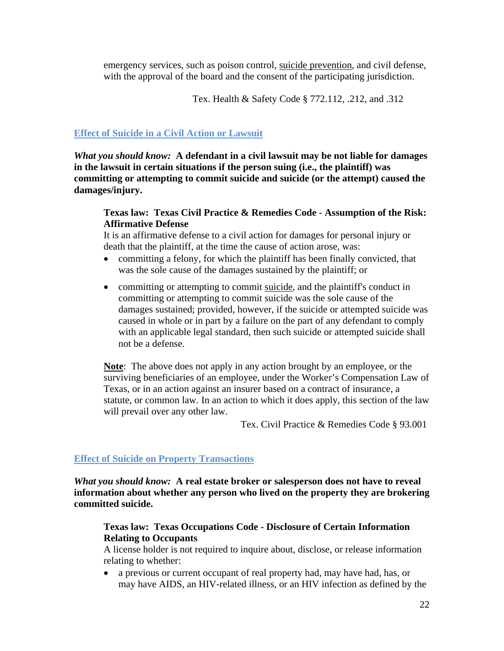emergency services, such as poison control, suicide prevention, and civil defense, with the approval of the board and the consent of the participating jurisdiction.

Tex. Health & Safety Code § 772.112, .212, and .312

### **Effect of Suicide in a Civil Action or Lawsuit**

*What you should know:* **A defendant in a civil lawsuit may be not liable for damages in the lawsuit in certain situations if the person suing (i.e., the plaintiff) was committing or attempting to commit suicide and suicide (or the attempt) caused the damages/injury.** 

### **Texas law: Texas Civil Practice & Remedies Code - Assumption of the Risk: Affirmative Defense**

It is an affirmative defense to a civil action for damages for personal injury or death that the plaintiff, at the time the cause of action arose, was:

- committing a felony, for which the plaintiff has been finally convicted, that was the sole cause of the damages sustained by the plaintiff; or
- committing or attempting to commit suicide, and the plaintiff's conduct in committing or attempting to commit suicide was the sole cause of the damages sustained; provided, however, if the suicide or attempted suicide was caused in whole or in part by a failure on the part of any defendant to comply with an applicable legal standard, then such suicide or attempted suicide shall not be a defense.

**Note**: The above does not apply in any action brought by an employee, or the surviving beneficiaries of an employee, under the Worker's Compensation Law of Texas, or in an action against an insurer based on a contract of insurance, a statute, or common law. In an action to which it does apply, this section of the law will prevail over any other law.

Tex. Civil Practice & Remedies Code § 93.001

## **Effect of Suicide on Property Transactions**

*What you should know:* **A real estate broker or salesperson does not have to reveal information about whether any person who lived on the property they are brokering committed suicide.** 

## **Texas law: Texas Occupations Code - Disclosure of Certain Information Relating to Occupants**

A license holder is not required to inquire about, disclose, or release information relating to whether:

 a previous or current occupant of real property had, may have had, has, or may have AIDS, an HIV-related illness, or an HIV infection as defined by the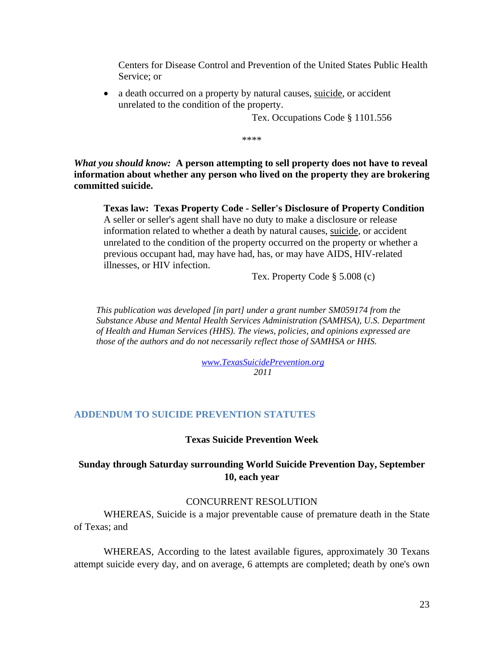Centers for Disease Control and Prevention of the United States Public Health Service; or

• a death occurred on a property by natural causes, suicide, or accident unrelated to the condition of the property.

Tex. Occupations Code § 1101.556

\*\*\*\*

*What you should know:* **A person attempting to sell property does not have to reveal information about whether any person who lived on the property they are brokering committed suicide.** 

**Texas law: Texas Property Code - Seller's Disclosure of Property Condition** A seller or seller's agent shall have no duty to make a disclosure or release information related to whether a death by natural causes, suicide, or accident unrelated to the condition of the property occurred on the property or whether a previous occupant had, may have had, has, or may have AIDS, HIV-related illnesses, or HIV infection.

Tex. Property Code § 5.008 (c)

*This publication was developed [in part] under a grant number SM059174 from the Substance Abuse and Mental Health Services Administration (SAMHSA), U.S. Department of Health and Human Services (HHS). The views, policies, and opinions expressed are those of the authors and do not necessarily reflect those of SAMHSA or HHS.* 

> *www.TexasSuicidePrevention.org 2011*

#### **ADDENDUM TO SUICIDE PREVENTION STATUTES**

#### **Texas Suicide Prevention Week**

### **Sunday through Saturday surrounding World Suicide Prevention Day, September 10, each year**

#### CONCURRENT RESOLUTION

WHEREAS, Suicide is a major preventable cause of premature death in the State of Texas; and

WHEREAS, According to the latest available figures, approximately 30 Texans attempt suicide every day, and on average, 6 attempts are completed; death by one's own